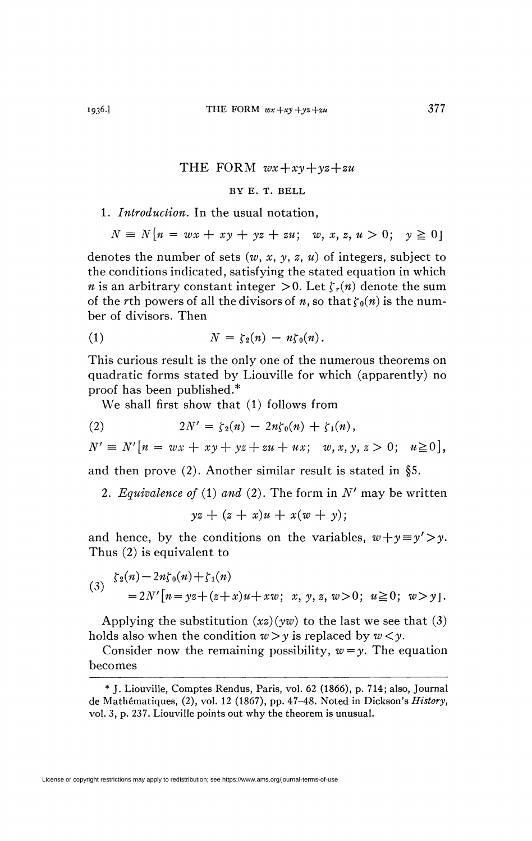## T HE FORM *wx+xy+yz+zu*

## BY E. T. BELL

## 1. *Introduction.* In the usual notation,

$$
N = N[n = wx + xy + yz + zu; w, x, z, u > 0; y \ge 0]
$$

denotes the number of sets *(w, x, y, z, u)* of integers, subject to the conditions indicated, satisfying the stated equation in which *n* is an arbitrary constant integer  $>0$ . Let  $\zeta_r(n)$  denote the sum of the *r*th powers of all the divisors of *n*, so that  $\zeta_0(n)$  is the number of divisors. Then

$$
(1) \hspace{1cm} N = \zeta_2(n) - n\zeta_0(n).
$$

This curious result is the only one of the numerous theorems on quadratic forms stated by Liouville for which (apparently) no proof has been published.\*

We shall first show that (1) follows from

(2) 
$$
2N' = \zeta_2(n) - 2n\zeta_0(n) + \zeta_1(n),
$$

$$
N' \equiv N'[n = wx + xy + yz + zu + ux; w, x, y, z > 0; u \ge 0],
$$

and then prove (2). Another similar result is stated in §5.

2. *Equivalence of* (1) and (2). The form in  $N'$  may be written

$$
yz + (z + x)u + x(w + y);
$$

and hence, by the conditions on the variables,  $w+y=y'$ , Thus (2) is equivalent to

(3) 
$$
\begin{aligned} \zeta_2(n) - 2n\zeta_0(n) + \zeta_1(n) \\ &= 2N'\big[n = yz + (z+x)u + xw; \ x, y, z, w > 0; \ u \ge 0; \ w > y\big]. \end{aligned}
$$

Applying the substitution  $(xz)(yw)$  to the last we see that (3) holds also when the condition  $w > y$  is replaced by  $w < y$ .

Consider now the remaining possibility,  $w = y$ . The equation becomes

<sup>\*</sup> J. Liouville, Comptes Rendus, Paris, vol. 62 (1866), p. 714; also, Journal de Mathématiques, (2), vol. 12 (1867), pp. 47-48. Noted in Dickson's *History,*  vol. 3, p. 237. Liouville points out why the theorem is unusual.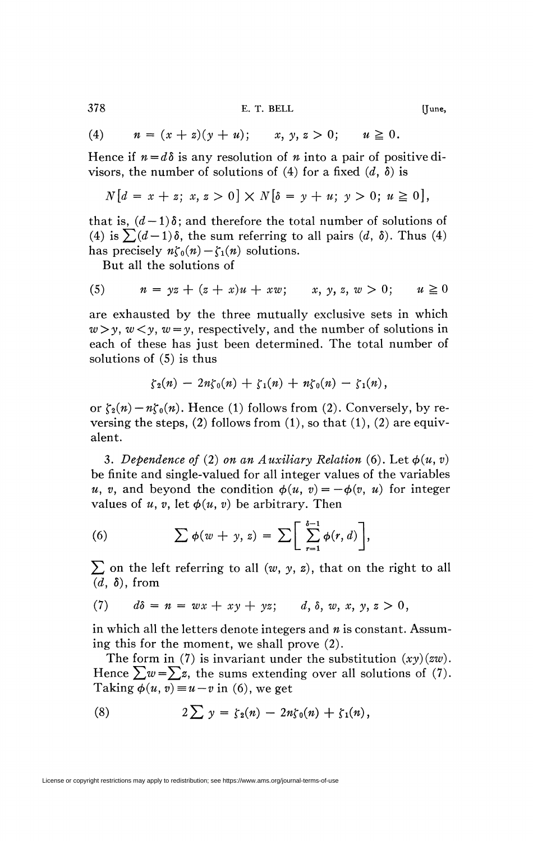378 E. T. BELL [June,

(4) 
$$
n = (x + z)(y + u);
$$
  $x, y, z > 0;$   $u \ge 0.$ 

Hence if  $n = d\delta$  is any resolution of *n* into a pair of positive divisors, the number of solutions of (4) for a fixed  $(d, \delta)$  is

$$
N[d = x + z; x, z > 0] \times N[\delta = y + u; y > 0; u \ge 0],
$$

that is,  $(d-1)\delta$ ; and therefore the total number of solutions of (4) is  $\sum (d-1)\delta$ , the sum referring to all pairs  $(d, \delta)$ . Thus (4) has precisely  $n\zeta_0(n) - \zeta_1(n)$  solutions.

But all the solutions of

(5) 
$$
n = yz + (z + x)u + xw
$$
;  $x, y, z, w > 0$ ;  $u \ge 0$ 

are exhausted by the three mutually exclusive sets in which  $w>y$ ,  $w < y$ ,  $w = y$ , respectively, and the number of solutions in each of these has just been determined. The total number of solutions of (5) is thus

$$
\zeta_2(n) - 2n\zeta_0(n) + \zeta_1(n) + n\zeta_0(n) - \zeta_1(n),
$$

or  $\zeta_2(n) - n\zeta_0(n)$ . Hence (1) follows from (2). Conversely, by reversing the steps,  $(2)$  follows from  $(1)$ , so that  $(1)$ ,  $(2)$  are equivalent.

3. Dependence of (2) on an Auxiliary Relation (6). Let  $\phi(u, v)$ be finite and single-valued for all integer values of the variables *u*, *v*, and beyond the condition  $\phi(u, v) = -\phi(v, u)$  for integer values of *u*, *v*, let  $\phi(u, v)$  be arbitrary. Then

(6) 
$$
\sum \phi(w + y, z) = \sum \left[ \sum_{r=1}^{\delta-1} \phi(r, d) \right],
$$

 $\sum$  on the left referring to all  $(w, y, z)$ , that on the right to all *(d,* ô), from

(7) 
$$
d\delta = n = wx + xy + yz; \qquad d, \delta, w, x, y, z > 0,
$$

in which all the letters denote integers and *n* is constant. Assuming this for the moment, we shall prove (2).

The form in (7) is invariant under the substitution *(xy)(zw).*  Hence  $\sum w = \sum z$ , the sums extending over all solutions of (7). Taking  $\phi(u, v) = u - v$  in (6), we get

(8) 
$$
2\sum y = \zeta_2(n) - 2n\zeta_0(n) + \zeta_1(n),
$$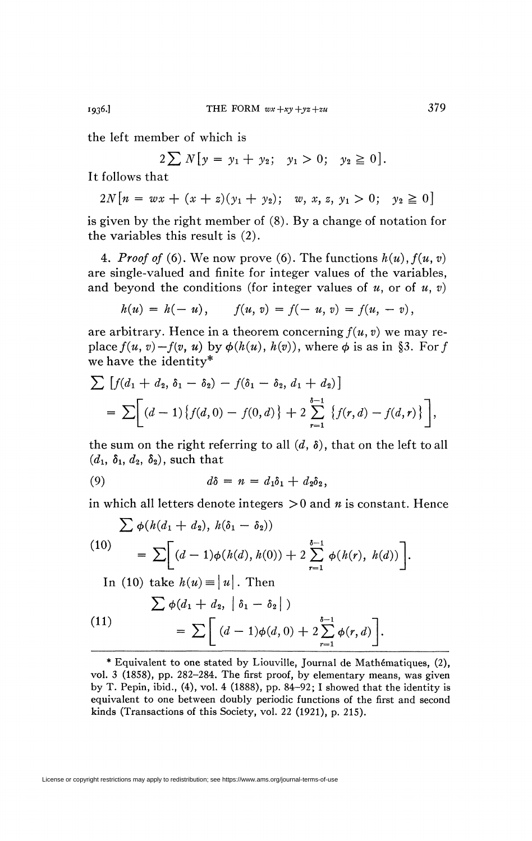the left member of which is

 $2\sum N[y = y_1 + y_2; y_1 > 0; y_2 \ge 0].$ 

It follows that

 $2N[n = wx + (x + z)(y_1 + y_2); w, x, z, y_1 > 0; y_2 \ge 0]$ 

is given by the right member of  $(8)$ . By a change of notation for the variables this result is  $(2)$ .

4. *Proof of* (6). We now prove (6). The functions  $h(u)$ ,  $f(u, v)$ are single-valued and finite for integer values of the variables, and beyond the conditions (for integer values of  $u$ , or of  $u$ , v)

$$
h(u) = h(-u), \qquad f(u, v) = f(-u, v) = f(u, -v),
$$

are arbitrary. Hence in a theorem concerning  $f(u, v)$  we may replace  $f(u, v) - f(v, u)$  by  $\phi(h(u), h(v))$ , where  $\phi$  is as in §3. For f we have the identity\*

$$
\sum [f(d_1 + d_2, \delta_1 - \delta_2) - f(\delta_1 - \delta_2, d_1 + d_2)]
$$
  
= 
$$
\sum [d-1)\{f(d, 0) - f(0, d)\} + 2 \sum_{r=1}^{\delta-1} \{f(r, d) - f(d, r)\} ,
$$

the sum on the right referring to all  $(d, \delta)$ , that on the left to all  $(d_1, \delta_1, d_2, \delta_2)$ , such that

$$
(9) \hspace{1cm} d\delta = n = d_1\delta_1 + d_2\delta_2,
$$

in which all letters denote integers  $>0$  and n is constant. Hence

$$
\sum \phi(h(d_1 + d_2), h(\delta_1 - \delta_2))
$$
  
(10)  

$$
= \sum [ (d - 1)\phi(h(d), h(0)) + 2 \sum_{r=1}^{\delta-1} \phi(h(r), h(d)) ]
$$
  
In (10) take  $h(u) \equiv |u|$ . Then

(11)  
\n
$$
\sum \phi(d_1 + d_2, \mid \delta_1 - \delta_2 \mid)
$$
\n
$$
= \sum \left[ (d-1)\phi(d, 0) + 2 \sum_{r=1}^{\delta-1} \phi(r, d) \right].
$$

1936.]

<sup>\*</sup> Equivalent to one stated by Liouville, Journal de Mathématiques, (2), vol. 3 (1858), pp. 282-284. The first proof, by elementary means, was given by T. Pepin, ibid.,  $(4)$ , vol. 4 (1888), pp. 84-92; I showed that the identity is equivalent to one between doubly periodic functions of the first and second kinds (Transactions of this Society, vol. 22 (1921), p. 215).